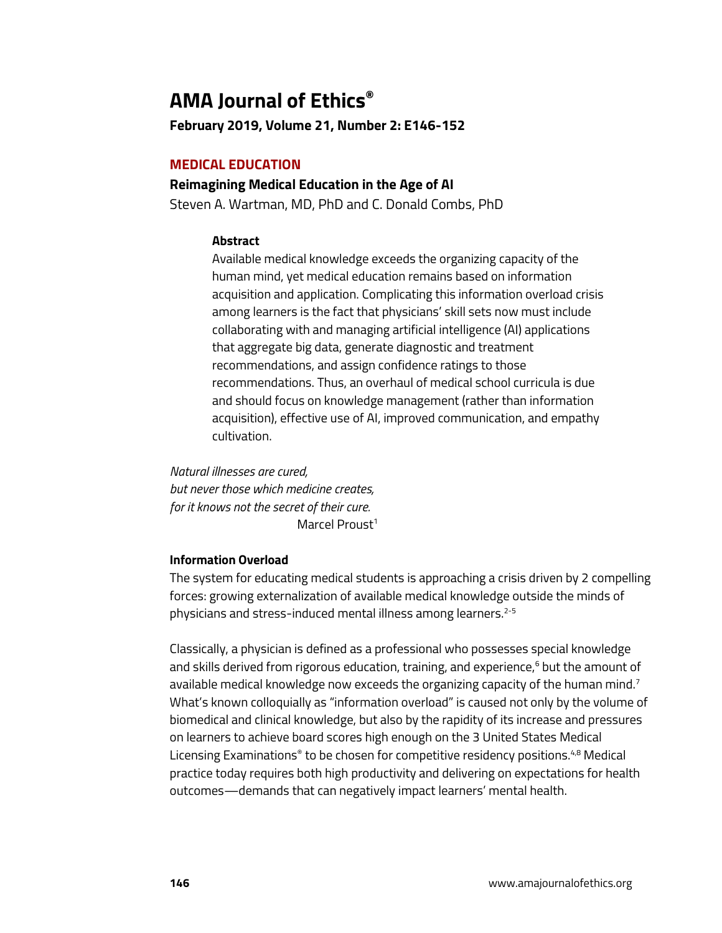# **AMA Journal of Ethics®**

**February 2019, Volume 21, Number 2: E146-152**

# **MEDICAL EDUCATION**

## **Reimagining Medical Education in the Age of AI**

Steven A. Wartman, MD, PhD and C. Donald Combs, PhD

## **Abstract**

Available medical knowledge exceeds the organizing capacity of the human mind, yet medical education remains based on information acquisition and application. Complicating this information overload crisis among learners is the fact that physicians' skill sets now must include collaborating with and managing artificial intelligence (AI) applications that aggregate big data, generate diagnostic and treatment recommendations, and assign confidence ratings to those recommendations. Thus, an overhaul of medical school curricula is due and should focus on knowledge management (rather than information acquisition), effective use of AI, improved communication, and empathy cultivation.

*Natural illnesses are cured, but never those which medicine creates, for it knows not the secret of their cure.* Marcel Proust<sup>1</sup>

## **Information Overload**

The system for educating medical students is approaching a crisis driven by 2 compelling forces: growing externalization of available medical knowledge outside the minds of physicians and stress-induced mental illness among learners.<sup>2-5</sup>

Classically, a physician is defined as a professional who possesses special knowledge and skills derived from rigorous education, training, and experience,<sup>6</sup> but the amount of available medical knowledge now exceeds the organizing capacity of the human mind.<sup>7</sup> What's known colloquially as "information overload" is caused not only by the volume of biomedical and clinical knowledge, but also by the rapidity of its increase and pressures on learners to achieve board scores high enough on the 3 United States Medical Licensing Examinations® to be chosen for competitive residency positions.<sup>4,8</sup> Medical practice today requires both high productivity and delivering on expectations for health outcomes—demands that can negatively impact learners' mental health.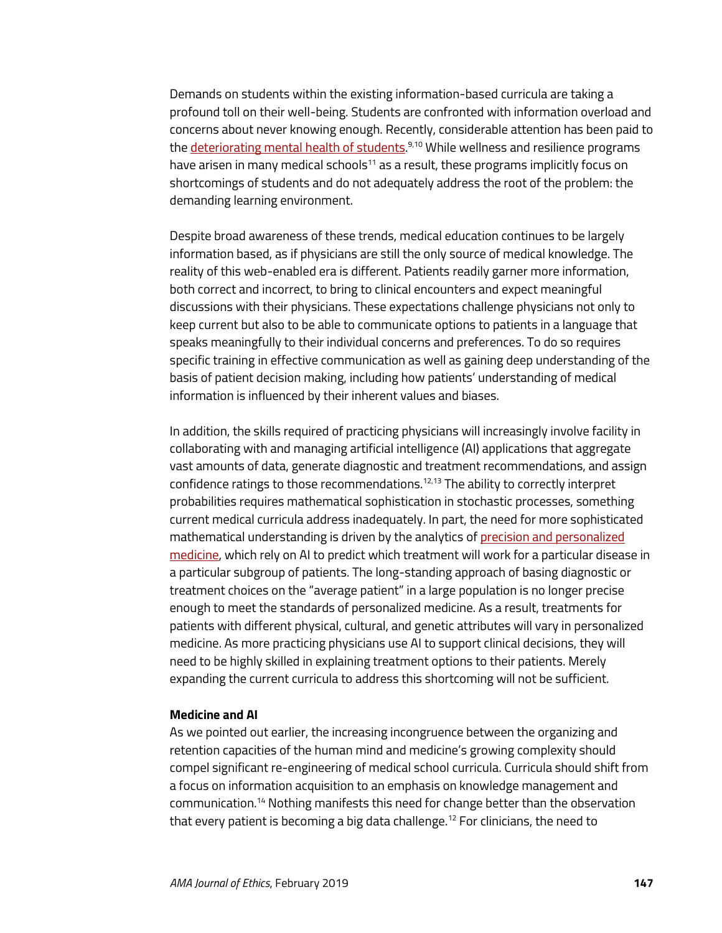Demands on students within the existing information-based curricula are taking a profound toll on their well-being. Students are confronted with information overload and concerns about never knowing enough. Recently, considerable attention has been paid to the <u>deteriorating mental health of students.<sup>9,10</sup> While wellness and resilience programs</u> have arisen in many medical schools $11$  as a result, these programs implicitly focus on shortcomings of students and do not adequately address the root of the problem: the demanding learning environment.

Despite broad awareness of these trends, medical education continues to be largely information based, as if physicians are still the only source of medical knowledge. The reality of this web-enabled era is different. Patients readily garner more information, both correct and incorrect, to bring to clinical encounters and expect meaningful discussions with their physicians. These expectations challenge physicians not only to keep current but also to be able to communicate options to patients in a language that speaks meaningfully to their individual concerns and preferences. To do so requires specific training in effective communication as well as gaining deep understanding of the basis of patient decision making, including how patients' understanding of medical information is influenced by their inherent values and biases.

In addition, the skills required of practicing physicians will increasingly involve facility in collaborating with and managing artificial intelligence (AI) applications that aggregate vast amounts of data, generate diagnostic and treatment recommendations, and assign confidence ratings to those recommendations.<sup>12,13</sup> The ability to correctly interpret probabilities requires mathematical sophistication in stochastic processes, something current medical curricula address inadequately. In part, the need for more sophisticated mathematical understanding is driven by the analytics o[f precision and personalized](https://journalofethics.ama-assn.org/article/why-does-shift-personalized-medicine-precision-health-and-wellness-genomics-matter/2018-09)  [medicine,](https://journalofethics.ama-assn.org/article/why-does-shift-personalized-medicine-precision-health-and-wellness-genomics-matter/2018-09) which rely on AI to predict which treatment will work for a particular disease in a particular subgroup of patients. The long-standing approach of basing diagnostic or treatment choices on the "average patient" in a large population is no longer precise enough to meet the standards of personalized medicine. As a result, treatments for patients with different physical, cultural, and genetic attributes will vary in personalized medicine. As more practicing physicians use AI to support clinical decisions, they will need to be highly skilled in explaining treatment options to their patients. Merely expanding the current curricula to address this shortcoming will not be sufficient.

### **Medicine and AI**

As we pointed out earlier, the increasing incongruence between the organizing and retention capacities of the human mind and medicine's growing complexity should compel significant re-engineering of medical school curricula. Curricula should shift from a focus on information acquisition to an emphasis on knowledge management and communication.14 Nothing manifests this need for change better than the observation that every patient is becoming a big data challenge.<sup>12</sup> For clinicians, the need to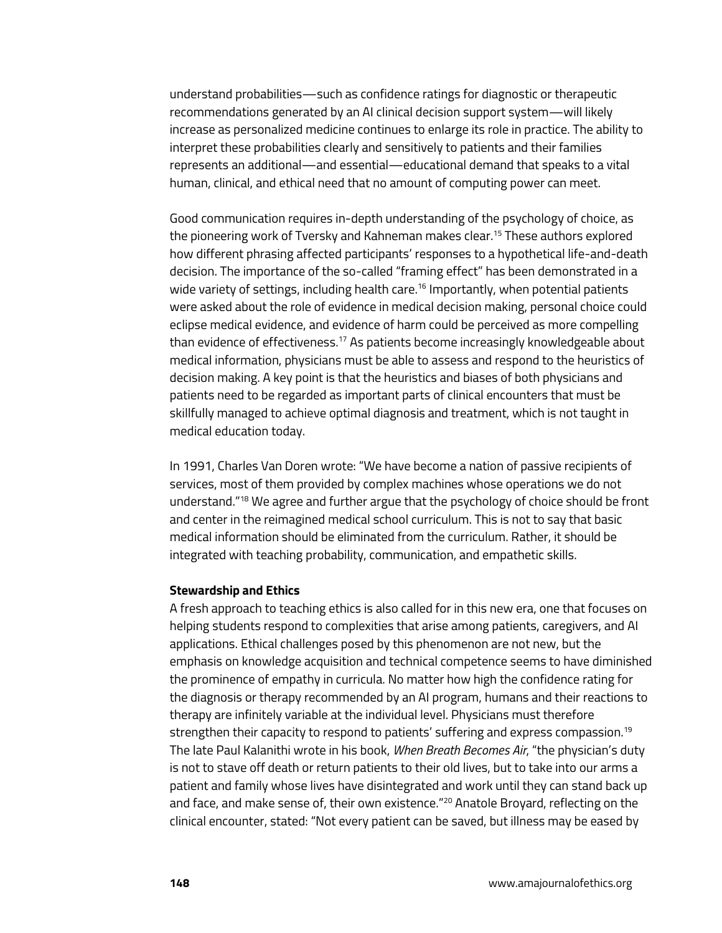understand probabilities—such as confidence ratings for diagnostic or therapeutic recommendations generated by an AI clinical decision support system—will likely increase as personalized medicine continues to enlarge its role in practice. The ability to interpret these probabilities clearly and sensitively to patients and their families represents an additional—and essential—educational demand that speaks to a vital human, clinical, and ethical need that no amount of computing power can meet.

Good communication requires in-depth understanding of the psychology of choice, as the pioneering work of Tversky and Kahneman makes clear.15 These authors explored how different phrasing affected participants' responses to a hypothetical life-and-death decision. The importance of the so-called "framing effect" has been demonstrated in a wide variety of settings, including health care.<sup>16</sup> Importantly, when potential patients were asked about the role of evidence in medical decision making, personal choice could eclipse medical evidence, and evidence of harm could be perceived as more compelling than evidence of effectiveness.17 As patients become increasingly knowledgeable about medical information, physicians must be able to assess and respond to the heuristics of decision making. A key point is that the heuristics and biases of both physicians and patients need to be regarded as important parts of clinical encounters that must be skillfully managed to achieve optimal diagnosis and treatment, which is not taught in medical education today.

In 1991, Charles Van Doren wrote: "We have become a nation of passive recipients of services, most of them provided by complex machines whose operations we do not understand."18 We agree and further argue that the psychology of choice should be front and center in the reimagined medical school curriculum. This is not to say that basic medical information should be eliminated from the curriculum. Rather, it should be integrated with teaching probability, communication, and empathetic skills.

#### **Stewardship and Ethics**

A fresh approach to teaching ethics is also called for in this new era, one that focuses on helping students respond to complexities that arise among patients, caregivers, and AI applications. Ethical challenges posed by this phenomenon are not new, but the emphasis on knowledge acquisition and technical competence seems to have diminished the prominence of empathy in curricula. No matter how high the confidence rating for the diagnosis or therapy recommended by an AI program, humans and their reactions to therapy are infinitely variable at the individual level. Physicians must therefore strengthen their capacity to respond to patients' suffering and express compassion.<sup>19</sup> The late Paul Kalanithi wrote in his book, *When Breath Becomes Air*, "the physician's duty is not to stave off death or return patients to their old lives, but to take into our arms a patient and family whose lives have disintegrated and work until they can stand back up and face, and make sense of, their own existence."<sup>20</sup> Anatole Broyard, reflecting on the clinical encounter, stated: "Not every patient can be saved, but illness may be eased by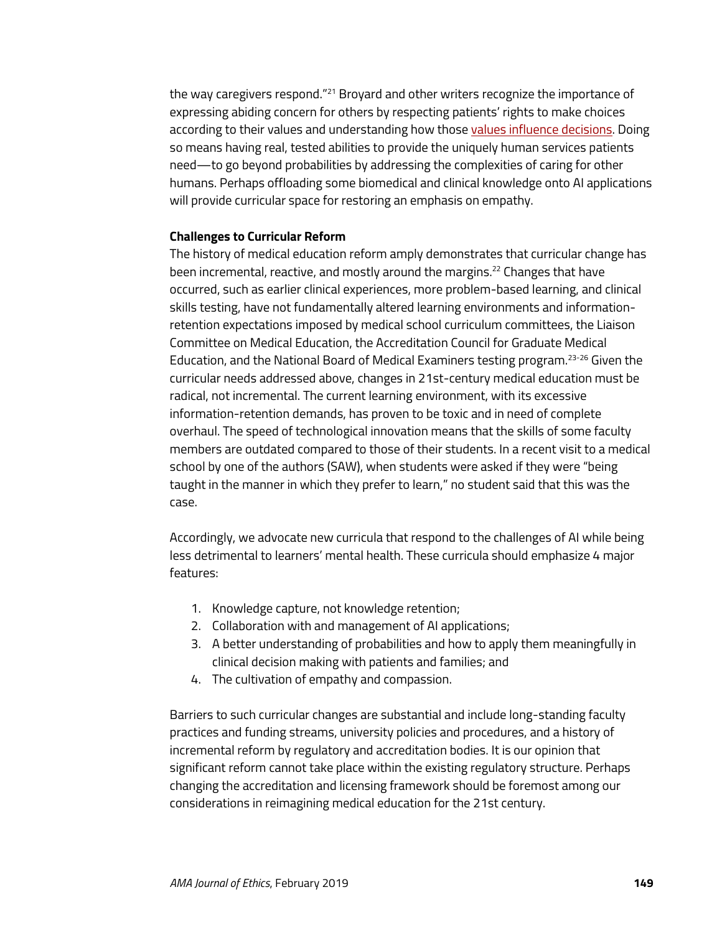the way caregivers respond."<sup>21</sup> Broyard and other writers recognize the importance of expressing abiding concern for others by respecting patients' rights to make choices according to their values and understanding how thos[e values influence decisions.](https://journalofethics.ama-assn.org/article/reasonableness-credibility-and-clinical-disagreement/2017-02) Doing so means having real, tested abilities to provide the uniquely human services patients need—to go beyond probabilities by addressing the complexities of caring for other humans. Perhaps offloading some biomedical and clinical knowledge onto AI applications will provide curricular space for restoring an emphasis on empathy.

#### **Challenges to Curricular Reform**

The history of medical education reform amply demonstrates that curricular change has been incremental, reactive, and mostly around the margins.<sup>22</sup> Changes that have occurred, such as earlier clinical experiences, more problem-based learning, and clinical skills testing, have not fundamentally altered learning environments and informationretention expectations imposed by medical school curriculum committees, the Liaison Committee on Medical Education, the Accreditation Council for Graduate Medical Education, and the National Board of Medical Examiners testing program.23-26 Given the curricular needs addressed above, changes in 21st-century medical education must be radical, not incremental. The current learning environment, with its excessive information-retention demands, has proven to be toxic and in need of complete overhaul. The speed of technological innovation means that the skills of some faculty members are outdated compared to those of their students. In a recent visit to a medical school by one of the authors (SAW), when students were asked if they were "being taught in the manner in which they prefer to learn," no student said that this was the case.

Accordingly, we advocate new curricula that respond to the challenges of AI while being less detrimental to learners' mental health. These curricula should emphasize 4 major features:

- 1. Knowledge capture, not knowledge retention;
- 2. Collaboration with and management of AI applications;
- 3. A better understanding of probabilities and how to apply them meaningfully in clinical decision making with patients and families; and
- 4. The cultivation of empathy and compassion.

Barriers to such curricular changes are substantial and include long-standing faculty practices and funding streams, university policies and procedures, and a history of incremental reform by regulatory and accreditation bodies. It is our opinion that significant reform cannot take place within the existing regulatory structure. Perhaps changing the accreditation and licensing framework should be foremost among our considerations in reimagining medical education for the 21st century.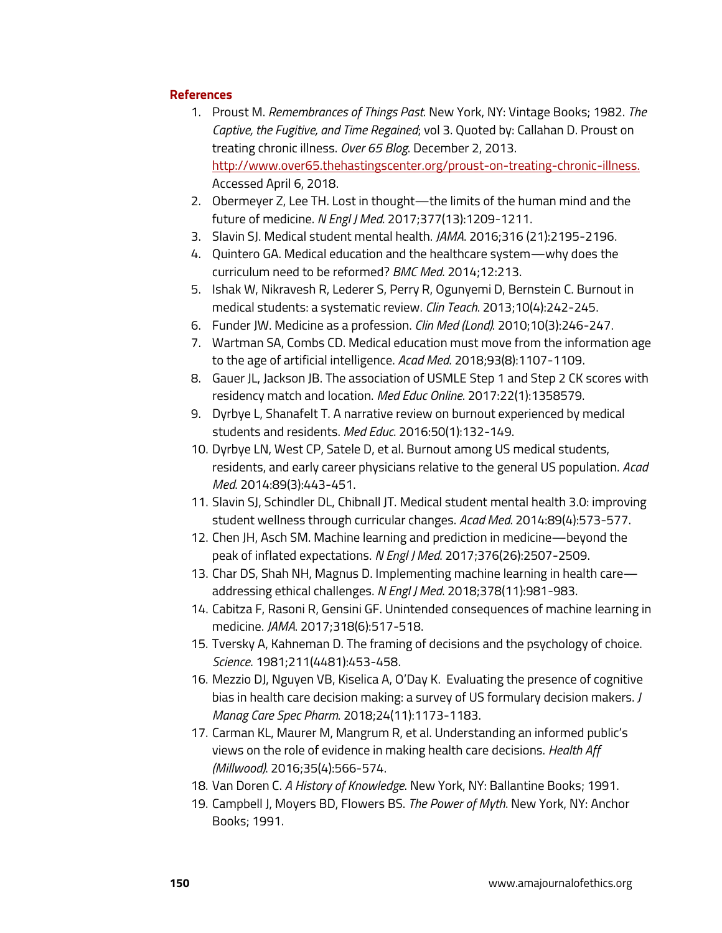## **References**

- 1. Proust M. *Remembrances of Things Past*. New York, NY: Vintage Books; 1982. *The Captive, the Fugitive, and Time Regained*; vol 3. Quoted by: Callahan D. Proust on treating chronic illness. *Over 65 Blog*. December 2, 2013. [http://www.over65.thehastingscenter.org/proust-on-treating-chronic-illness.](http://www.over65.thehastingscenter.org/proust-on-treating-chronic-illness) Accessed April 6, 2018.
- 2. Obermeyer Z, Lee TH. Lost in thought—the limits of the human mind and the future of medicine. *N Engl J Med*. 2017;377(13):1209-1211.
- 3. Slavin SJ. Medical student mental health. *JAMA*. 2016;316 (21):2195-2196.
- 4. Quintero GA. Medical education and the healthcare system—why does the curriculum need to be reformed? *BMC Med*. 2014;12:213.
- 5. Ishak W, Nikravesh R, Lederer S, Perry R, Ogunyemi D, Bernstein C. Burnout in medical students: a systematic review. *Clin Teach*. 2013;10(4):242-245.
- 6. Funder JW. Medicine as a profession. *Clin Med (Lond)*. 2010;10(3):246-247.
- 7. Wartman SA, Combs CD. Medical education must move from the information age to the age of artificial intelligence. *Acad Med*. 2018;93(8):1107-1109.
- 8. Gauer JL, Jackson JB. The association of USMLE Step 1 and Step 2 CK scores with residency match and location. *Med Educ Online*. 2017:22(1):1358579.
- 9. Dyrbye L, Shanafelt T. A narrative review on burnout experienced by medical students and residents. *Med Educ*. 2016:50(1):132-149.
- 10. Dyrbye LN, West CP, Satele D, et al. Burnout among US medical students, residents, and early career physicians relative to the general US population. *Acad Med*. 2014:89(3):443-451.
- 11. Slavin SJ, Schindler DL, Chibnall JT. Medical student mental health 3.0: improving student wellness through curricular changes. *Acad Med*. 2014:89(4):573-577.
- 12. Chen JH, Asch SM. Machine learning and prediction in medicine—beyond the peak of inflated expectations. *N Engl J Med*. 2017;376(26):2507-2509.
- 13. Char DS, Shah NH, Magnus D. Implementing machine learning in health care addressing ethical challenges. *N Engl J Med*. 2018;378(11):981-983.
- 14. Cabitza F, Rasoni R, Gensini GF. Unintended consequences of machine learning in medicine. *JAMA*. 2017;318(6):517-518.
- 15. Tversky A, Kahneman D. The framing of decisions and the psychology of choice. *Science*. 1981;211(4481):453-458.
- 16. Mezzio DJ, Nguyen VB, Kiselica A, O'Day K. Evaluating the presence of cognitive bias in health care decision making: a survey of US formulary decision makers. *J Manag Care Spec Pharm*. 2018;24(11):1173-1183.
- 17. Carman KL, Maurer M, Mangrum R, et al. Understanding an informed public's views on the role of evidence in making health care decisions. *Health Aff (Millwood)*. 2016;35(4):566-574.
- 18. Van Doren C. *A History of Knowledge*. New York, NY: Ballantine Books; 1991.
- 19. Campbell J, Moyers BD, Flowers BS. *The Power of Myth*. New York, NY: Anchor Books; 1991.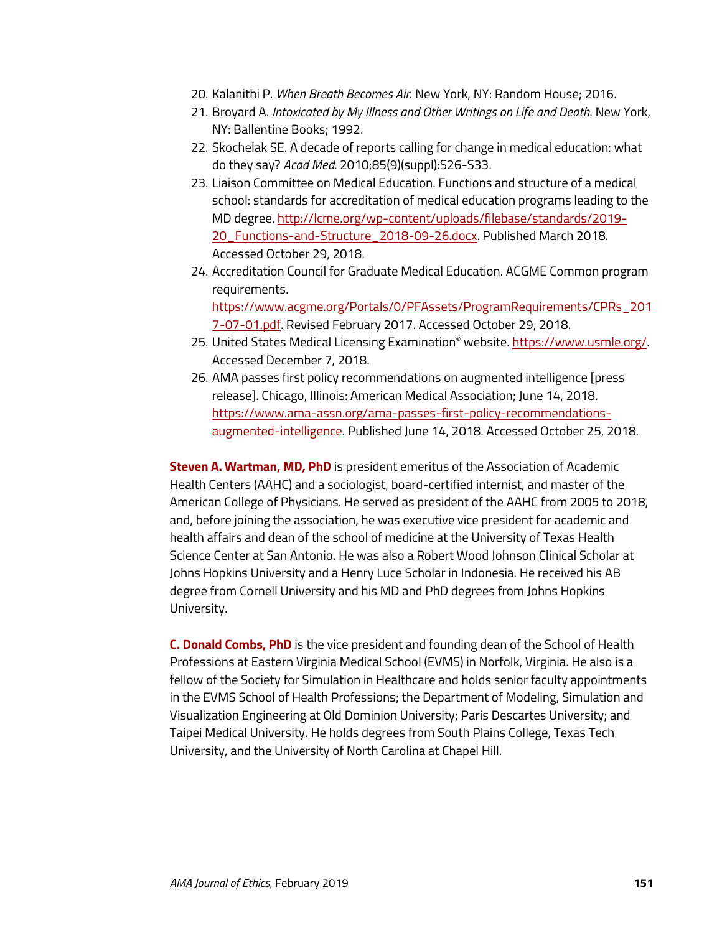- 20. Kalanithi P. *When Breath Becomes Air*. New York, NY: Random House; 2016.
- 21. Broyard A. *Intoxicated by My Illness and Other Writings on Life and Death*. New York, NY: Ballentine Books; 1992.
- 22. Skochelak SE. A decade of reports calling for change in medical education: what do they say? *Acad Med*. 2010;85(9)(suppl):S26-S33.
- 23. Liaison Committee on Medical Education. Functions and structure of a medical school: standards for accreditation of medical education programs leading to the MD degree. [http://lcme.org/wp-content/uploads/filebase/standards/2019-](http://lcme.org/wp-content/uploads/filebase/standards/2019-20_Functions-and-Structure_2018-09-26.docx) [20\\_Functions-and-Structure\\_2018-09-26.docx.](http://lcme.org/wp-content/uploads/filebase/standards/2019-20_Functions-and-Structure_2018-09-26.docx) Published March 2018. Accessed October 29, 2018.
- 24. Accreditation Council for Graduate Medical Education. ACGME Common program requirements. [https://www.acgme.org/Portals/0/PFAssets/ProgramRequirements/CPRs\\_201](https://www.acgme.org/Portals/0/PFAssets/ProgramRequirements/CPRs_2017-07-01.pdf) [7-07-01.pdf.](https://www.acgme.org/Portals/0/PFAssets/ProgramRequirements/CPRs_2017-07-01.pdf) Revised February 2017. Accessed October 29, 2018.
- 25. United States Medical Licensing Examination® website[. https://www.usmle.org/.](https://www.usmle.org/) Accessed December 7, 2018.
- 26. AMA passes first policy recommendations on augmented intelligence [press release]. Chicago, Illinois: American Medical Association; June 14, 2018. [https://www.ama-assn.org/ama-passes-first-policy-recommendations](https://www.ama-assn.org/ama-passes-first-policy-recommendations-augmented-intelligence)[augmented-intelligence.](https://www.ama-assn.org/ama-passes-first-policy-recommendations-augmented-intelligence) Published June 14, 2018. Accessed October 25, 2018.

**Steven A. Wartman, MD, PhD** is president emeritus of the Association of Academic Health Centers (AAHC) and a sociologist, board-certified internist, and master of the American College of Physicians. He served as president of the AAHC from 2005 to 2018, and, before joining the association, he was executive vice president for academic and health affairs and dean of the school of medicine at the University of Texas Health Science Center at San Antonio. He was also a Robert Wood Johnson Clinical Scholar at Johns Hopkins University and a Henry Luce Scholar in Indonesia. He received his AB degree from Cornell University and his MD and PhD degrees from Johns Hopkins University.

**C. Donald Combs, PhD** is the vice president and founding dean of the School of Health Professions at Eastern Virginia Medical School (EVMS) in Norfolk, Virginia. He also is a fellow of the Society for Simulation in Healthcare and holds senior faculty appointments in the EVMS School of Health Professions; the Department of Modeling, Simulation and Visualization Engineering at Old Dominion University; Paris Descartes University; and Taipei Medical University. He holds degrees from South Plains College, Texas Tech University, and the University of North Carolina at Chapel Hill.